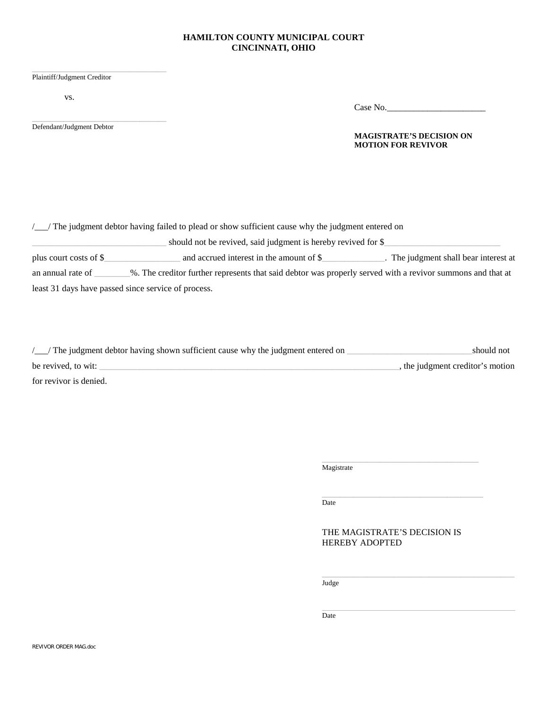## **HAMILTON COUNTY MUNICIPAL COURT CINCINNATI, OHIO**

| Plaintiff/Judgment Creditor |  |
|-----------------------------|--|

vs.

Defendant/Judgment Debtor

Case No.\_\_\_\_\_\_\_\_\_\_\_\_\_\_\_\_\_\_\_\_\_\_

## **MAGISTRATE'S DECISION ON MOTION FOR REVIVOR**

|                                                                                                                                 | /_/ The judgment debtor having failed to plead or show sufficient cause why the judgment entered on |                                       |  |
|---------------------------------------------------------------------------------------------------------------------------------|-----------------------------------------------------------------------------------------------------|---------------------------------------|--|
| should not be revived, said judgment is hereby revived for \$                                                                   |                                                                                                     |                                       |  |
| plus court costs of \$                                                                                                          | and accrued interest in the amount of \$                                                            | . The judgment shall bear interest at |  |
| %. The creditor further represents that said debtor was properly served with a revivor summons and that at<br>an annual rate of |                                                                                                     |                                       |  |
| least 31 days have passed since service of process.                                                                             |                                                                                                     |                                       |  |

| /_/ The judgment debtor having shown sufficient cause why the judgment entered on | should not                       |
|-----------------------------------------------------------------------------------|----------------------------------|
| be revived, to wit:                                                               | , the judgment creditor's motion |
| for revivor is denied.                                                            |                                  |

 $\_$ 

 $\overline{$ Magistrate

 $\overline{\text{Date}}$ 

## THE MAGISTRATE'S DECISION IS HEREBY ADOPTED

 $_{\text{Judge}}$ 

**Date Date**